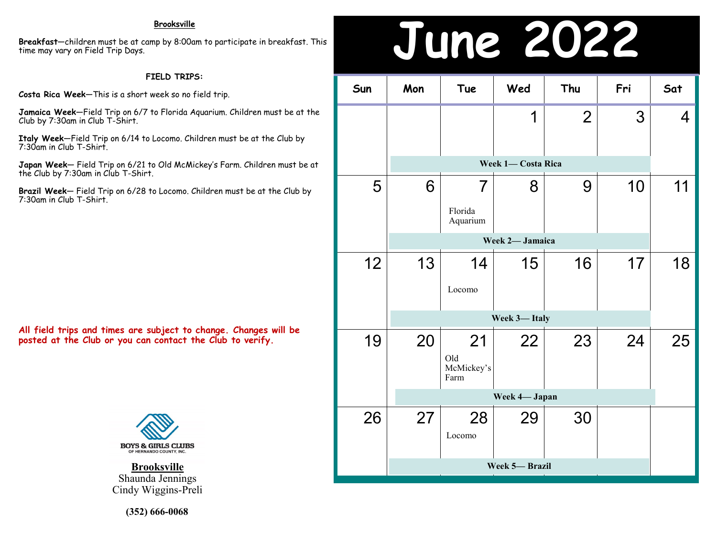**Breakfast**—children must be at camp by 8:00am to participate in breakfast. This time may vary on Field Trip Days.

### **FIELD TRIPS:**

**Costa Rica Week**—This is a short week so no field trip.

**Jamaica Week**—Field Trip on 6/7 to Florida Aquarium. Children must be at the Club by 7:30am in Club T-Shirt.

**Italy Week**—Field Trip on 6/14 to Locomo. Children must be at the Club by 7:30am in Club T-Shirt.

**Japan Week**— Field Trip on 6/21 to Old McMickey's Farm. Children must be at the Club by 7:30am in Club T-Shirt.

**Brazil Week**— Field Trip on 6/28 to Locomo. Children must be at the Club by 7:30am in Club T-Shirt.

**All field trips and times are subject to change. Changes will be posted at the Club or you can contact the Club to verify.**



**Brooksville** Shaunda Jennings Cindy Wiggins-Preli

**(352) 666-0068**

## Brooksville<br>np by 8:00am to participate in breakfast. This<br>**Brooksville**

| Sun | Mon             | Tue                             | Wed | Thu            | Fri | Sat |  |  |
|-----|-----------------|---------------------------------|-----|----------------|-----|-----|--|--|
|     |                 |                                 | 1   | $\overline{2}$ | 3   | 4   |  |  |
|     |                 | Week 1- Costa Rica              |     |                |     |     |  |  |
| 5   | 6               | 7<br>Florida<br>Aquarium        | 8   | 9              | 10  | 11  |  |  |
|     | Week 2- Jamaica |                                 |     |                |     |     |  |  |
| 12  | 13              | 14<br>Locomo                    | 15  | 16             | 17  | 18  |  |  |
|     |                 |                                 |     |                |     |     |  |  |
| 19  | 20              | 21<br>Old<br>McMickey's<br>Farm | 22  | 23             | 24  | 25  |  |  |
|     | Week 4- Japan   |                                 |     |                |     |     |  |  |
| 26  | 27              | 28<br>Locomo                    | 29  | 30             |     |     |  |  |
|     |                 |                                 |     |                |     |     |  |  |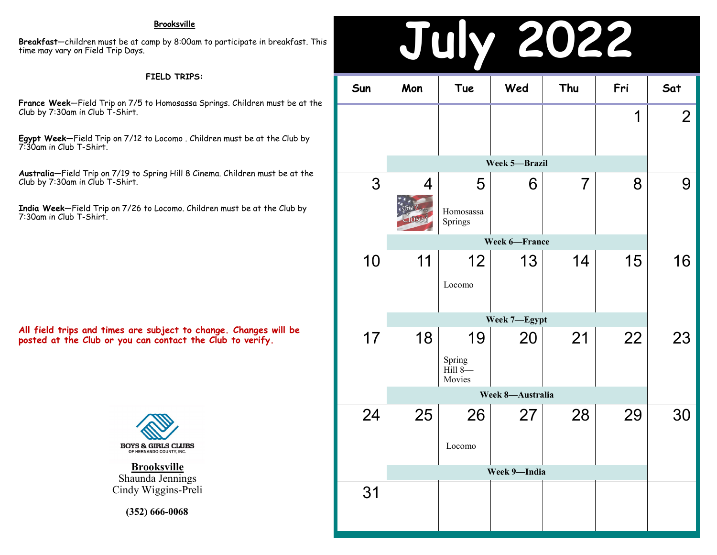#### **Brooksville**

**Breakfast**—children must be at camp by 8:00am to participate in breakfast. This time may vary on Field Trip Days.

#### **FIELD TRIPS:**

**France Week**—Field Trip on 7/5 to Homosassa Springs. Children must be at the Club by 7:30am in Club T-Shirt.

**Egypt Week**—Field Trip on 7/12 to Locomo . Children must be at the Club by 7:30am in Club T-Shirt.

**Australia**—Field Trip on 7/19 to Spring Hill 8 Cinema. Children must be at the Club by 7:30am in Club T-Shirt.

**India Week**—Field Trip on 7/26 to Locomo. Children must be at the Club by 7:30am in Club T-Shirt.

**All field trips and times are subject to change. Changes will be posted at the Club or you can contact the Club to verify.**



**Brooksville** Shaunda Jennings Cindy Wiggins-Preli

**(352) 666-0068**

### **July 2022 Sun Mon Tue Wed Thu Fri Sat** 1 2 3 4 5 6 7 8 9 **Week 5—Brazil**

10 11 12 13 14 15 16 17 18 19 20 21 22 23 24 25 26 27 28 29 30 31 **Week 7—Egypt** Spring Hill 8— Movies **Week 8—Australia** Locomo **Week 9—India** Springs **Week 6—France** Locomo

Homosassa